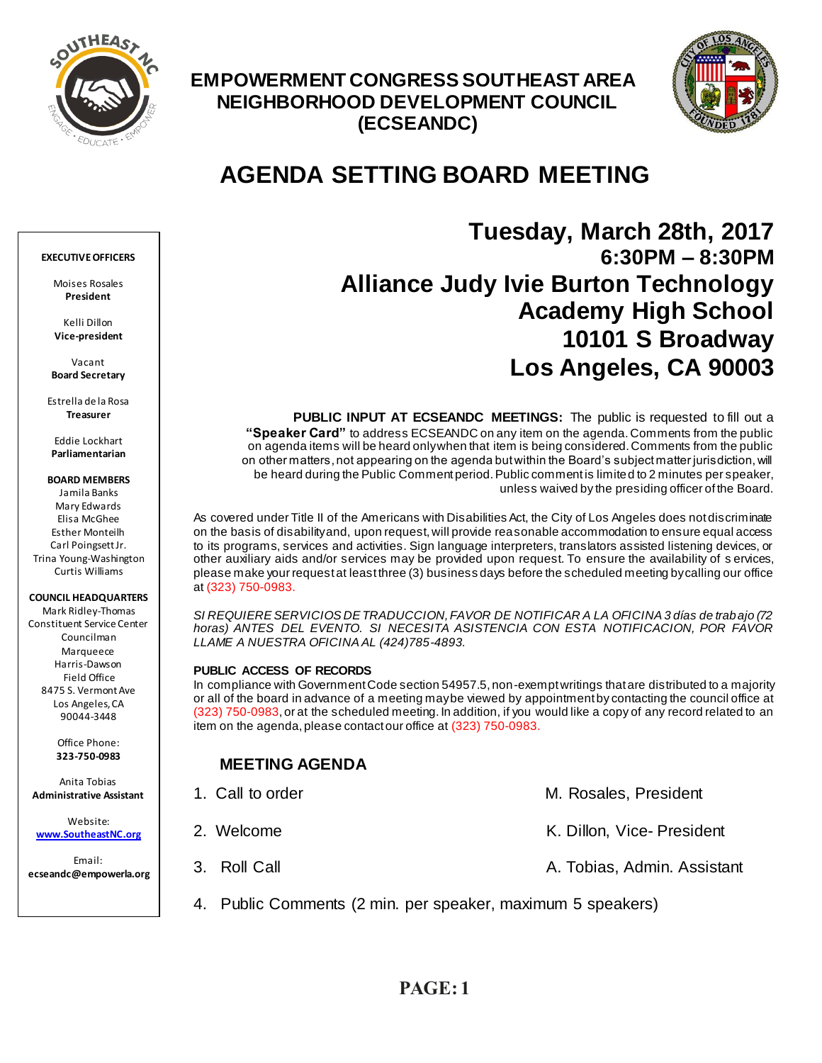

## **EMPOWERMENT CONGRESS SOUTHEAST AREA NEIGHBORHOOD DEVELOPMENT COUNCIL (ECSEANDC)**



# **AGENDA SETTING BOARD MEETING**

## **Tuesday, March 28th, 2017 6:30PM – 8:30PM Alliance Judy Ivie Burton Technology Academy High School 10101 S Broadway Los Angeles, CA 90003**

**PUBLIC INPUT AT ECSEANDC MEETINGS:** The public is requested to fill out a **"Speaker Card"** to address ECSEANDC on any item on the agenda. Comments from the public on agenda items will be heard only when that item is being considered. Comments from the public on other matters, not appearing on the agenda but within the Board's subject matter jurisdiction, will be heard during the Public Comment period. Public comment is limited to 2 minutes per speaker, unless waived by the presiding officer of the Board.

As covered under Title II of the Americans with Disabilities Act, the City of Los Angeles does not discriminate on the basis of disability and, upon request, will provide reasonable accommodation to ensure equal access to its programs, services and activities. Sign language interpreters, translators assisted listening devices, or other auxiliary aids and/or services may be provided upon request. To ensure the availability of s ervices, please make your request at least three (3) business days before the scheduled meeting by calling our office at (323) 750-0983.

*SI REQUIERE SERVICIOS DE TRADUCCION, FAVOR DE NOTIFICAR A LA OFICINA 3 días de trabajo (72 horas) ANTES DEL EVENTO. SI NECESITA ASISTENCIA CON ESTA NOTIFICACION, POR FAVOR LLAME A NUESTRA OFICINA AL (424)785-4893.*

### **PUBLIC ACCESS OF RECORDS**

In compliance with Government Code section 54957.5, non-exempt writings that are distributed to a majority or all of the board in advance of a meeting may be viewed by appointment by contacting the council office at (323) 750-0983, or at the scheduled meeting. In addition, if you would like a copy of any record related to an item on the agenda, please contact our office at (323) 750-0983.

## **MEETING AGENDA**

| 1. Call to order                                            | M. Rosales, President       |
|-------------------------------------------------------------|-----------------------------|
| 2. Welcome                                                  | K. Dillon, Vice-President   |
| 3. Roll Call                                                | A. Tobias, Admin. Assistant |
| 4. Public Comments (2 min. per speaker, maximum 5 speakers) |                             |

#### **EXECUTIVE OFFICERS**

Moises Rosales **President**

Kelli Dillon **Vice-president**

Vacant **Board Secretary**

Estrella de la Rosa **Treasurer**

Eddie Lockhart **Parliamentarian**

#### **BOARD MEMBERS**

Jamila Banks Mary Edwards Elisa McGhee Esther Monteilh Carl Poingsett Jr. Trina Young-Washington Curtis Williams

#### **COUNCIL HEADQUARTERS**

Mark Ridley-Thomas Constituent Service Center Councilman Marqueece Harris-Dawson Field Office 8475 S. Vermont Ave Los Angeles, CA 90044-3448

> Office Phone: **323-750-0983**

Anita Tobias **Administrative Assistant**

Website: **[www.SoutheastNC.org](http://www.ecseandc.org/)**

Email: **ecseandc@empowerla.org**

**PAGE: 1**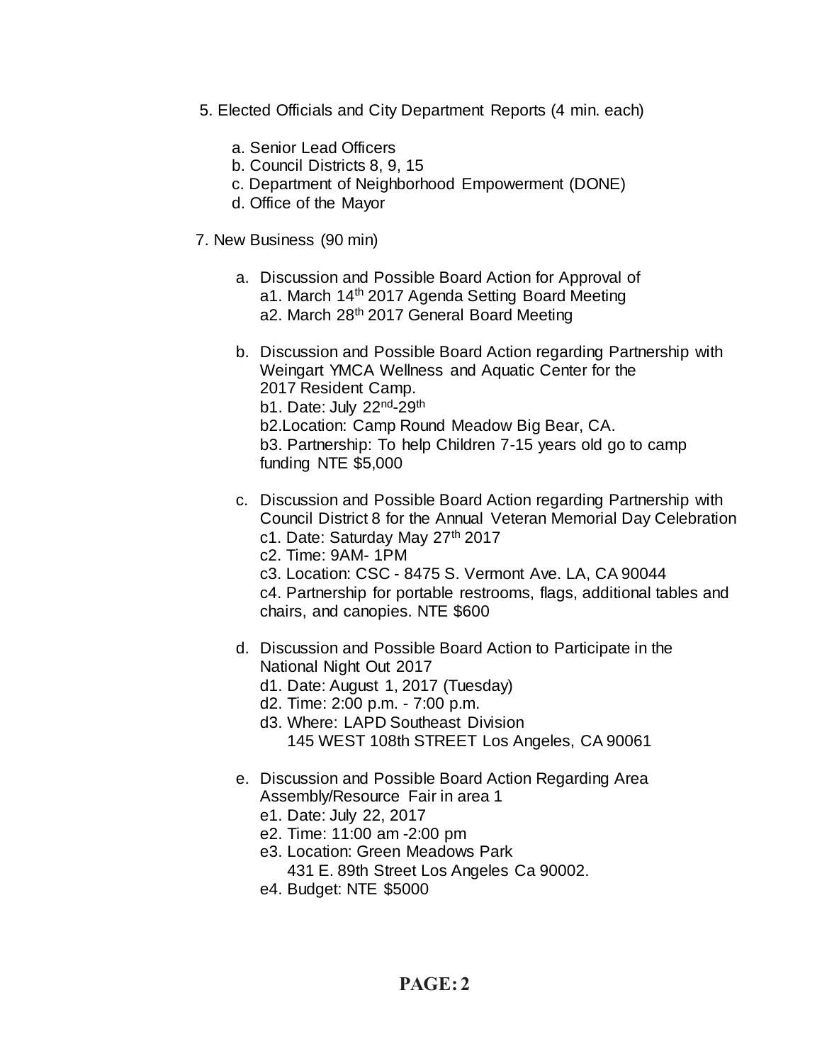- 5. Elected Officials and City Department Reports (4 min. each)
	- a. Senior Lead Officers
	- b. Council Districts 8, 9, 15
	- c. Department of Neighborhood Empowerment (DONE)
	- d. Office of the Mayor
- 7. New Business (90 min)
	- a. Discussion and Possible Board Action for Approval of a1. March 14<sup>th</sup> 2017 Agenda Setting Board Meeting a2. March 28<sup>th</sup> 2017 General Board Meeting
	- b. Discussion and Possible Board Action regarding Partnership with Weingart YMCA Wellness and Aquatic Center for the 2017 Resident Camp. b1. Date: July 22<sup>nd</sup>-29<sup>th</sup> b2.Location: Camp Round Meadow Big Bear, CA. b3. Partnership: To help Children 7-15 years old go to camp funding NTE \$5,000
	- c. Discussion and Possible Board Action regarding Partnership with Council District 8 for the Annual Veteran Memorial Day Celebration c1. Date: Saturday May 27th 2017
		- c2. Time: 9AM- 1PM
		- c3. Location: CSC 8475 S. Vermont Ave. LA, CA 90044
		- c4. Partnership for portable restrooms, flags, additional tables and chairs, and canopies. NTE \$600
	- d. Discussion and Possible Board Action to Participate in the National Night Out 2017
		- d1. Date: August 1, 2017 (Tuesday)
		- d2. Time: 2:00 p.m. 7:00 p.m.
		- d3. Where: LAPD Southeast Division 145 WEST 108th STREET Los Angeles, CA 90061
	- e. Discussion and Possible Board Action Regarding Area Assembly/Resource Fair in area 1
		- e1. Date: July 22, 2017
		- e2. Time: 11:00 am -2:00 pm
		- e3. Location: Green Meadows Park 431 E. 89th Street Los Angeles Ca 90002.
		- e4. Budget: NTE \$5000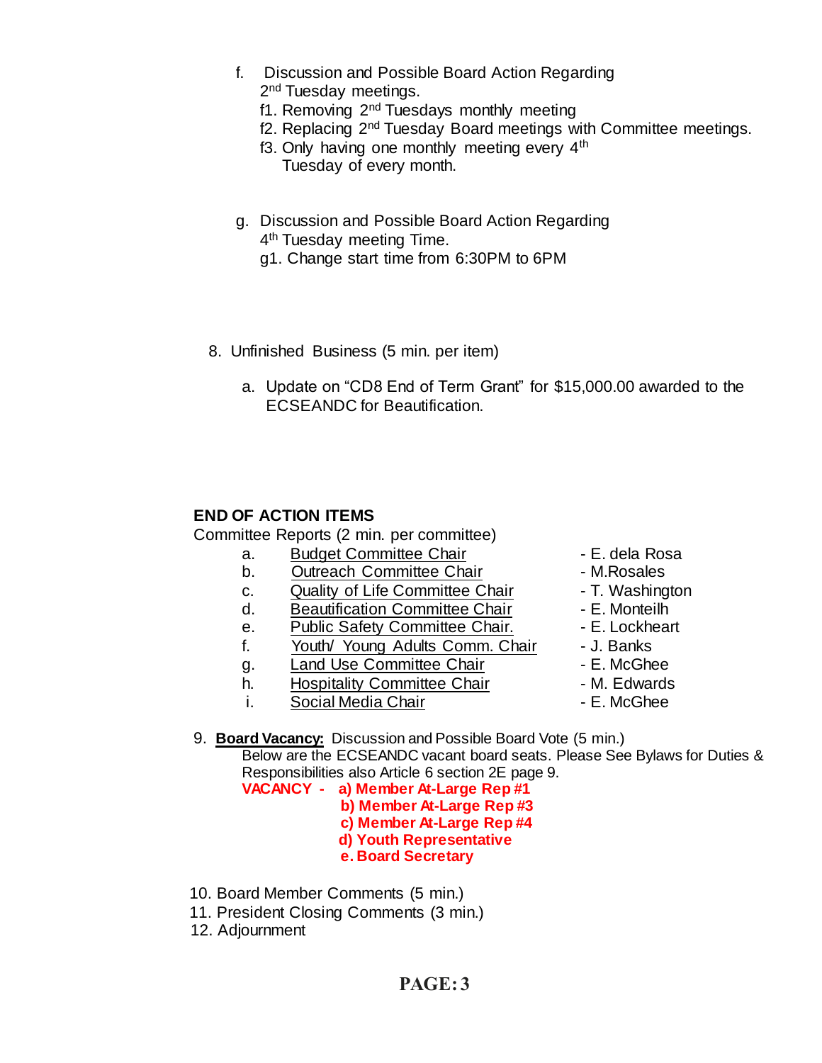- f. Discussion and Possible Board Action Regarding 2<sup>nd</sup> Tuesday meetings.
	- f1. Removing 2<sup>nd</sup> Tuesdays monthly meeting
	- f2. Replacing 2nd Tuesday Board meetings with Committee meetings.
	- f3. Only having one monthly meeting every  $4<sup>th</sup>$ Tuesday of every month.
- g. Discussion and Possible Board Action Regarding 4<sup>th</sup> Tuesday meeting Time.
	- g1. Change start time from 6:30PM to 6PM
- 8. Unfinished Business (5 min. per item)
	- a. Update on "CD8 End of Term Grant" for \$15,000.00 awarded to the ECSEANDC for Beautification.

## **END OF ACTION ITEMS**

Committee Reports (2 min. per committee)

- a. Budget Committee Chair **1988** E. dela Rosa
- b. Outreach Committee Chair **Daniel M.Rosales**
- c. Quality of Life Committee Chair T. Washington
- d. Beautification Committee Chair Fame E. Monteilh
- e. Public Safety Committee Chair. E. Lockheart
- F. The Calculate Communication of the C. Booking<br>f. Youth/ Young Adults Comm. Chair J. Banks
- g. Land Use Committee Chair **E. McGhee**
- h. Hospitality Committee Chair M. Edwards
- i. Social Media Chair **Chair** F. McGhee
- 
- 
- 
- 
- 
- 
- 
- 
- 

9. **Board Vacancy:** Discussion and Possible Board Vote (5 min.) Below are the ECSEANDC vacant board seats. Please See Bylaws for Duties & Responsibilities also Article 6 section 2E page 9. **VACANCY - a) Member At-Large Rep #1**

 **b) Member At-Large Rep #3**

- **c) Member At-Large Rep #4**
- **d) Youth Representative**
- **e. Board Secretary**
- 10. Board Member Comments (5 min.)
- 11. President Closing Comments (3 min.)
- 12. Adjournment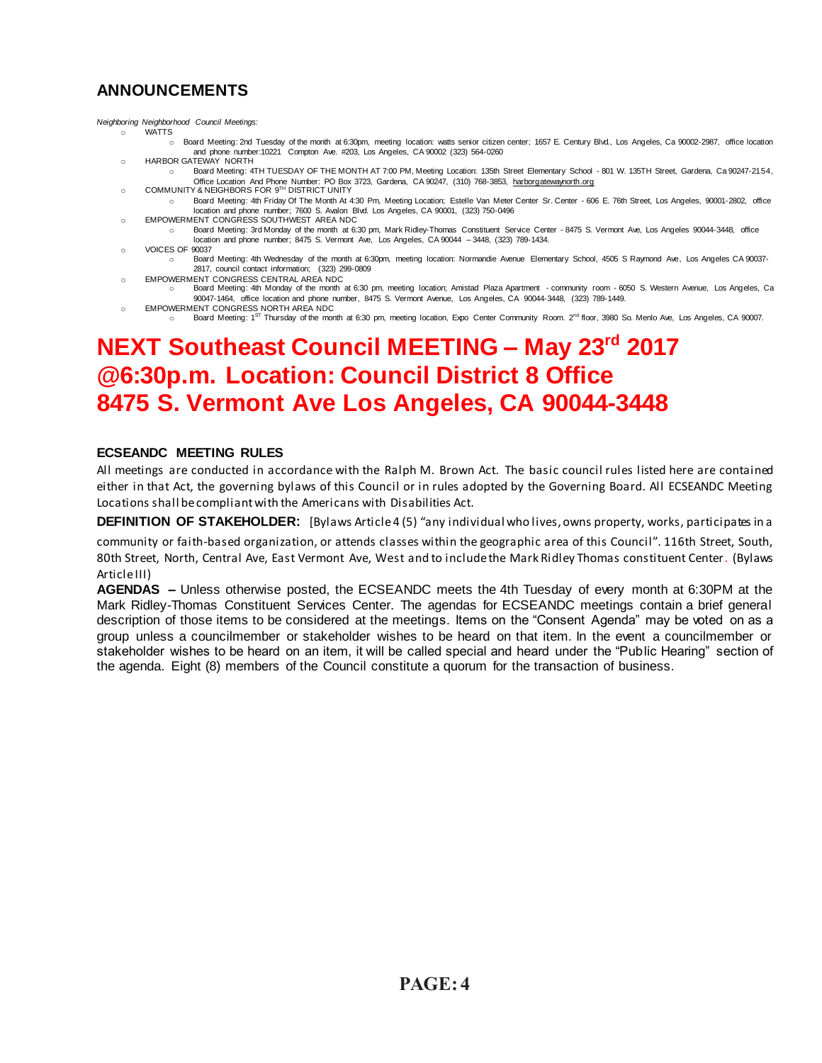## **ANNOUNCEMENTS**

*Neighboring Neighborhood Council Meetings:*

- o WATTS
- o Board Meeting: 2nd Tuesday of the month at 6:30pm, meeting location: watts senior citizen center; 1657 E. Century Blvd., Los Angeles, Ca 90002-2987, office location and phone number:10221 Compton Ave. #203, Los Angeles, CA 90002 (323) 564-0260 o HARBOR GATEWAY NORTH
- o Board Meeting: 4TH TUESDAY OF THE MONTH AT 7:00 PM, Meeting Location: 135th Street Elementary School 801 W. 135TH Street, Gardena, Ca 90247-2154, Office Location And Phone Number: PO Box 3723, Gardena, CA 90247, (310) 768-3853, [harborgatewaynorth.org](http://www.lacity.org/disclaim/disclaim.cfm?goto=http://HARBORGATEWAYNORTH.ORG%20%20%20%20%20%20%20%20%20%20%20%20%20%20%20%20%20%20%20%20%20%20%20%20%20%20%20%20%20/%20_blank)
- o COMMUNITY & NEIGHBORS FOR 9<sup>TH</sup> DISTRICT UNITY o Board Meeting: 4th Friday Of The Month At 4:30 Pm, Meeting Location; Estelle Van Meter Center Sr. Center - 606 E. 76th Street, Los Angeles, 90001-2802, office
- location and phone number; 7600 S. Avalon Blvd. Los Angeles, CA 90001, (323) 750-0496 o EMPOWERMENT CONGRESS SOUTHWEST AREA NDC o Board Meeting: 3rd Monday of the month at 6:30 pm, Mark Ridley-Thomas Constituent Service Center - 8475 S. Vermont Ave, Los Angeles 90044-3448, office
- location and phone number; 8475 S. Vermont Ave, Los Angeles, CA 90044 3448, (323) 789-1434. o VOICES OF 90037
- o Board Meeting: 4th Wednesday of the month at 6:30pm, meeting location: Normandie Avenue Elementary School, 4505 S Raymond Ave, Los Angeles CA 90037- 2817, council contact information; (323) 299-0809
- o EMPOWERMENT CONGRESS CENTRAL AREA NDC
- o Board Meeting: 4th Monday of the month at 6:30 pm, meeting location; Amistad Plaza Apartment community room 6050 S. Western Avenue, Los Angeles, Ca 90047-1464, office location and phone number, 8475 S. Vermont Avenue, Los Angeles, CA 90044-3448, (323) 789-1449.
- o EMPOWERMENT CONGRESS NORTH AREA NDC
- Board Meeting: 1ST Thursday of the month at 6:30 pm, meeting location, Expo Center Community Room. 2<sup>nd</sup> floor, 3980 So. Menlo Ave, Los Angeles, CA 90007.

## **NEXT Southeast Council MEETING – May 23rd 2017 @6:30p.m. Location: Council District 8 Office 8475 S. Vermont Ave Los Angeles, CA 90044-3448**

## **ECSEANDC MEETING RULES**

All meetings are conducted in accordance with the Ralph M. Brown Act. The basic council rules listed here are contained either in that Act, the governing bylaws of this Council or in rules adopted by the Governing Board. All ECSEANDC Meeting Locations shall be compliant with the Americans with Disabilities Act.

**DEFINITION OF STAKEHOLDER:** [Bylaws Article 4 (5) "any individual who lives, owns property, works, participates in a

community or faith-based organization, or attends classes within the geographic area of this Council". 116th Street, South, 80th Street, North, Central Ave, East Vermont Ave, West and to include the Mark Ridley Thomas constituent Center. (Bylaws Article III)

**AGENDAS –** Unless otherwise posted, the ECSEANDC meets the 4th Tuesday of every month at 6:30PM at the Mark Ridley-Thomas Constituent Services Center. The agendas for ECSEANDC meetings contain a brief general description of those items to be considered at the meetings. Items on the "Consent Agenda" may be voted on as a group unless a councilmember or stakeholder wishes to be heard on that item. In the event a councilmember or stakeholder wishes to be heard on an item, it will be called special and heard under the "Public Hearing" section of the agenda. Eight (8) members of the Council constitute a quorum for the transaction of business.